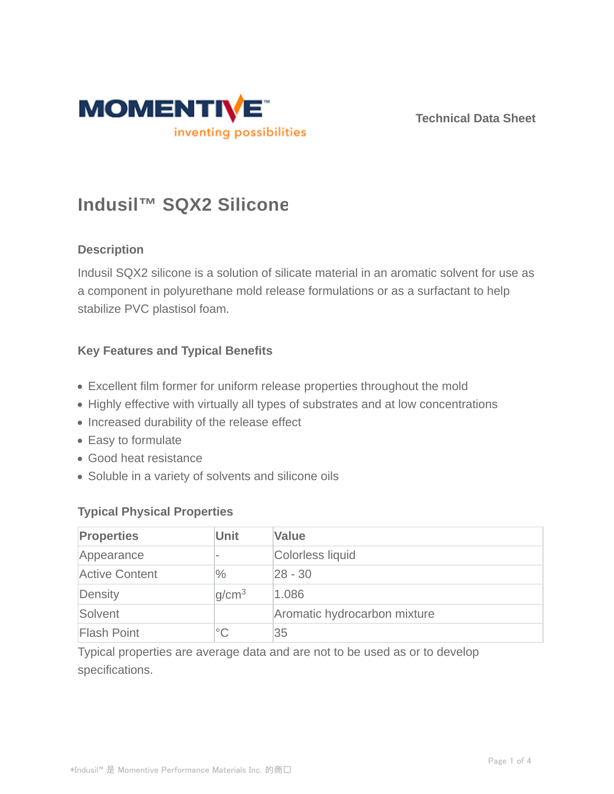

**Technical Data Sheet**

# **Indusil™ SQX2 Silicone**

# **Description**

Indusil SQX2 silicone is a solution of silicate material in an aromatic solvent for use as a component in polyurethane mold release formulations or as a surfactant to help stabilize PVC plastisol foam.

## **Key Features and Typical Benefits**

- Excellent film former for uniform release properties throughout the mold
- Highly effective with virtually all types of substrates and at low concentrations
- Increased durability of the release effect
- Easy to formulate
- Good heat resistance
- Soluble in a variety of solvents and silicone oils

### **Typical Physical Properties**

| <b>Properties</b>     | <b>Unit</b>       | <b>Value</b>                 |
|-----------------------|-------------------|------------------------------|
| Appearance            |                   | Colorless liquid             |
| <b>Active Content</b> | $\frac{0}{0}$     | $ 28 - 30$                   |
| Density               | q/cm <sup>3</sup> | 1.086                        |
| Solvent               |                   | Aromatic hydrocarbon mixture |
| <b>Flash Point</b>    | $^{\circ}C$       | 35                           |

Typical properties are average data and are not to be used as or to develop specifications.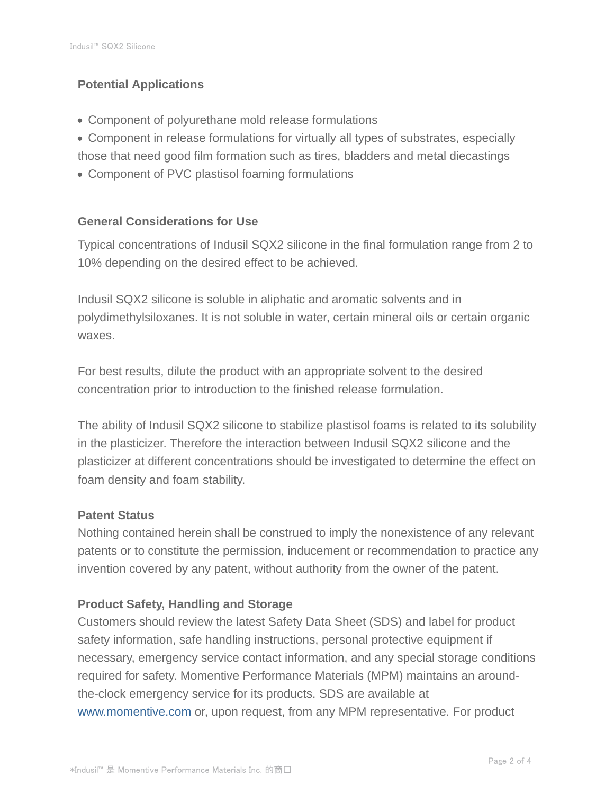# **Potential Applications**

- Component of polyurethane mold release formulations
- Component in release formulations for virtually all types of substrates, especially those that need good film formation such as tires, bladders and metal diecastings
- Component of PVC plastisol foaming formulations

# **General Considerations for Use**

Typical concentrations of Indusil SQX2 silicone in the final formulation range from 2 to 10% depending on the desired effect to be achieved.

Indusil SQX2 silicone is soluble in aliphatic and aromatic solvents and in polydimethylsiloxanes. It is not soluble in water, certain mineral oils or certain organic waxes.

For best results, dilute the product with an appropriate solvent to the desired concentration prior to introduction to the finished release formulation.

The ability of Indusil SQX2 silicone to stabilize plastisol foams is related to its solubility in the plasticizer. Therefore the interaction between Indusil SQX2 silicone and the plasticizer at different concentrations should be investigated to determine the effect on foam density and foam stability.

### **Patent Status**

Nothing contained herein shall be construed to imply the nonexistence of any relevant patents or to constitute the permission, inducement or recommendation to practice any invention covered by any patent, without authority from the owner of the patent.

# **Product Safety, Handling and Storage**

Customers should review the latest Safety Data Sheet (SDS) and label for product safety information, safe handling instructions, personal protective equipment if necessary, emergency service contact information, and any special storage conditions required for safety. Momentive Performance Materials (MPM) maintains an aroundthe-clock emergency service for its products. SDS are available at www.momentive.com or, upon request, from any MPM representative. For product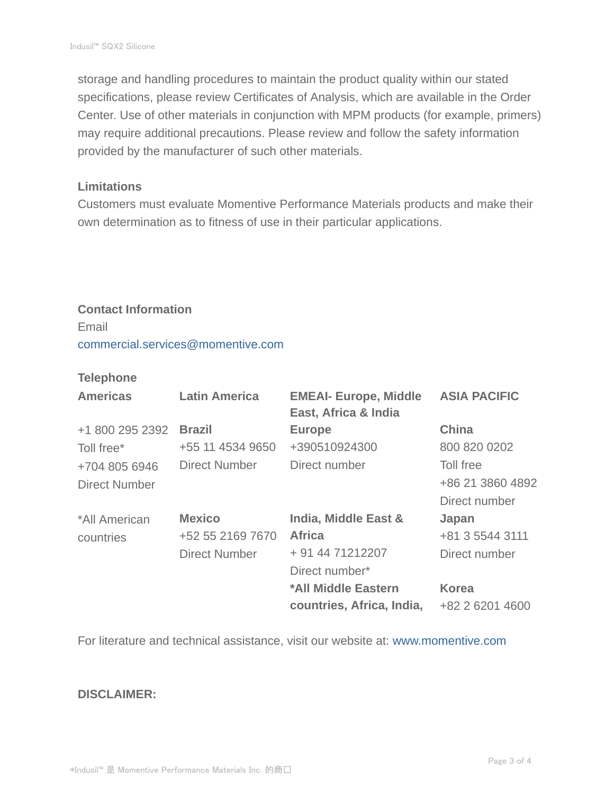storage and handling procedures to maintain the product quality within our stated specifications, please review Certificates of Analysis, which are available in the Order Center. Use of other materials in conjunction with MPM products (for example, primers) may require additional precautions. Please review and follow the safety information provided by the manufacturer of such other materials.

#### **Limitations**

Customers must evaluate Momentive Performance Materials products and make their own determination as to fitness of use in their particular applications.

# **Contact Information** Email commercial.services@momentive.com

### **Telephone**

| <b>Americas</b>      | <b>Latin America</b> | <b>EMEAI- Europe, Middle</b><br>East, Africa & India | <b>ASIA PACIFIC</b> |
|----------------------|----------------------|------------------------------------------------------|---------------------|
| +1 800 295 2392      | <b>Brazil</b>        | <b>Europe</b>                                        | <b>China</b>        |
| Toll free*           | +55 11 4534 9650     | +390510924300                                        | 800 820 0202        |
| +704 805 6946        | Direct Number        | Direct number                                        | Toll free           |
| <b>Direct Number</b> |                      |                                                      | +86 21 3860 4892    |
|                      |                      |                                                      | Direct number       |
| *All American        | <b>Mexico</b>        | <b>India, Middle East &amp;</b>                      | Japan               |
| countries            | +52 55 2169 7670     | <b>Africa</b>                                        | +81 3 5544 3111     |
|                      | <b>Direct Number</b> | + 91 44 71212207                                     | Direct number       |
|                      |                      | Direct number*                                       |                     |
|                      |                      | *All Middle Eastern                                  | <b>Korea</b>        |
|                      |                      | countries, Africa, India,                            | +82 2 6201 4600     |

For literature and technical assistance, visit our website at: www.momentive.com

### **DISCLAIMER:**